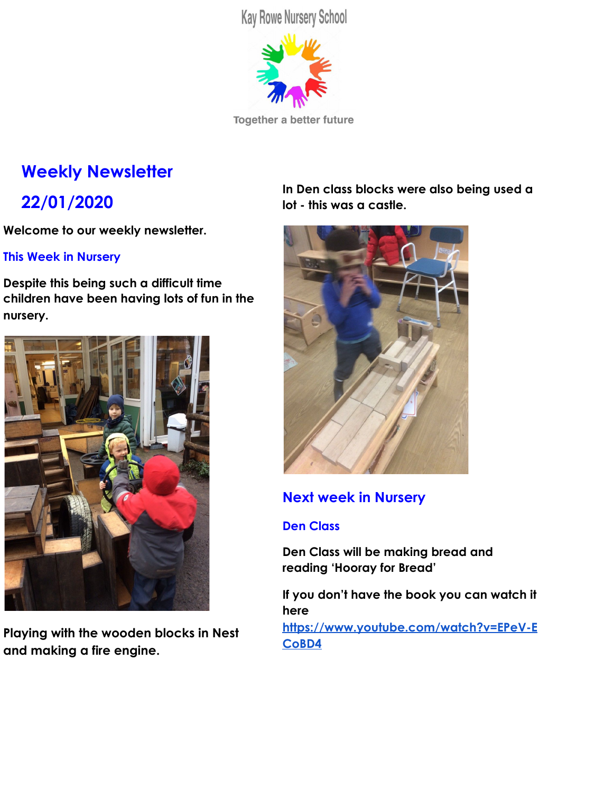**Kay Rowe Nursery School** 



Together a better future

# **Weekly Newsletter**

## **22/01/2020**

**Welcome to our weekly newsletter.**

## **This Week in Nursery**

**Despite this being such a difficult time children have been having lots of fun in the nursery.**



**Playing with the wooden blocks in Nest and making a fire engine.**

**In Den class blocks were also being used a lot - this was a castle.**



## **Next week in Nursery**

## **Den Class**

**Den Class will be making bread and reading 'Hooray for Bread'**

**If you don't have the book you can watch it here**

**[https://www.youtube.com/watch?v=EPeV-E](https://www.youtube.com/watch?v=EPeV-ECoBD4) [CoBD4](https://www.youtube.com/watch?v=EPeV-ECoBD4)**